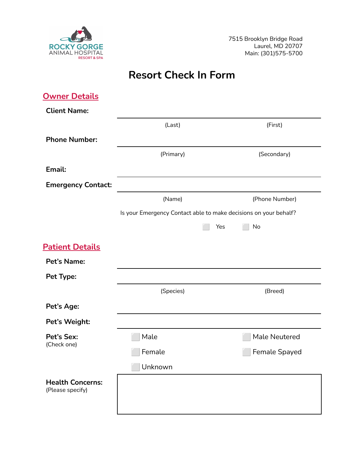

# **Resort Check In Form**

| <b>Owner Details</b>                        |           |                                                                  |
|---------------------------------------------|-----------|------------------------------------------------------------------|
| <b>Client Name:</b>                         |           |                                                                  |
|                                             | (Last)    | (First)                                                          |
| <b>Phone Number:</b>                        |           |                                                                  |
|                                             | (Primary) | (Secondary)                                                      |
| Email:                                      |           |                                                                  |
| <b>Emergency Contact:</b>                   |           |                                                                  |
|                                             | (Name)    | (Phone Number)                                                   |
|                                             |           | Is your Emergency Contact able to make decisions on your behalf? |
|                                             |           | Yes<br>No                                                        |
| <b>Patient Details</b>                      |           |                                                                  |
| Pet's Name:                                 |           |                                                                  |
| Pet Type:                                   |           |                                                                  |
|                                             | (Species) | (Breed)                                                          |
| Pet's Age:                                  |           |                                                                  |
| Pet's Weight:                               |           |                                                                  |
| Pet's Sex:<br>(Check one)                   | Male      | Male Neutered                                                    |
|                                             | Female    | Female Spayed                                                    |
|                                             | Unknown   |                                                                  |
| <b>Health Concerns:</b><br>(Please specify) |           |                                                                  |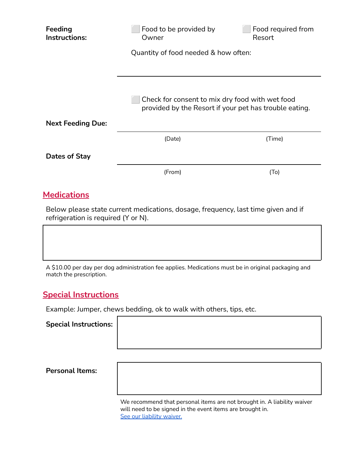| Feeding<br>Instructions: | Food to be provided by<br>Owner                                                                           | Food required from<br>Resort |
|--------------------------|-----------------------------------------------------------------------------------------------------------|------------------------------|
|                          | Quantity of food needed & how often:                                                                      |                              |
|                          |                                                                                                           |                              |
|                          | Check for consent to mix dry food with wet food<br>provided by the Resort if your pet has trouble eating. |                              |
| <b>Next Feeding Due:</b> |                                                                                                           |                              |
|                          | (Date)                                                                                                    | (Time)                       |
| Dates of Stay            |                                                                                                           |                              |
|                          | (From)                                                                                                    | (T <sub>O</sub> )            |
| <b>Medications</b>       |                                                                                                           |                              |

Below please state current medications, dosage, frequency, last time given and if refrigeration is required (Y or N).

A \$10.00 per day per dog administration fee applies. Medications must be in original packaging and match the prescription.

#### **Special Instructions**

Example: Jumper, chews bedding, ok to walk with others, tips, etc.

**Special Instructions:**

**Personal Items:**

We recommend that personal items are not brought in. A liability waiver will need to be signed in the event items are brought in. See our [liability](http://rockygorgevet.com/wp-content/uploads/2022/01/Personal-Property-Liability-Waiver.docx.pdf) waiver.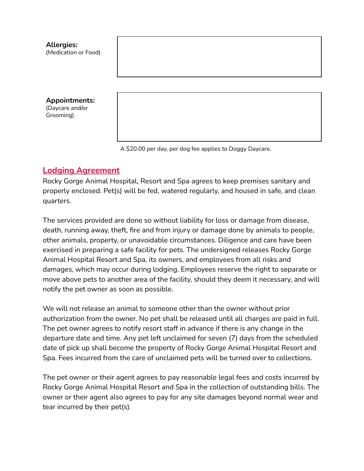

A \$20.00 per day, per dog fee applies to Doggy Daycare.

## **Lodging Agreement**

Rocky Gorge Animal Hospital, Resort and Spa agrees to keep premises sanitary and properly enclosed. Pet(s) will be fed, watered regularly, and housed in safe, and clean quarters.

The services provided are done so without liability for loss or damage from disease, death, running away, theft, fire and from injury or damage done by animals to people, other animals, property, or unavoidable circumstances. Diligence and care have been exercised in preparing a safe facility for pets. The undersigned releases Rocky Gorge Animal Hospital Resort and Spa, its owners, and employees from all risks and damages, which may occur during lodging. Employees reserve the right to separate or move above pets to another area of the facility, should they deem it necessary, and will notify the pet owner as soon as possible.

We will not release an animal to someone other than the owner without prior authorization from the owner. No pet shall be released until all charges are paid in full. The pet owner agrees to notify resort staff in advance if there is any change in the departure date and time. Any pet left unclaimed for seven (7) days from the scheduled date of pick up shall become the property of Rocky Gorge Animal Hospital Resort and Spa. Fees incurred from the care of unclaimed pets will be turned over to collections.

The pet owner or their agent agrees to pay reasonable legal fees and costs incurred by Rocky Gorge Animal Hospital Resort and Spa in the collection of outstanding bills. The owner or their agent also agrees to pay for any site damages beyond normal wear and tear incurred by their pet(s).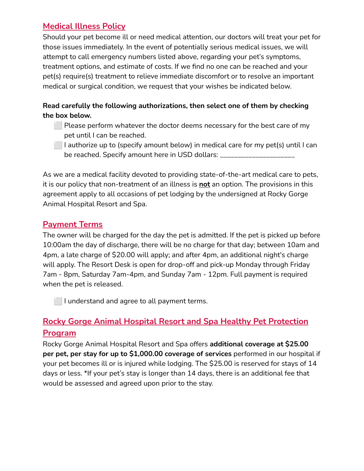# **Medical Illness Policy**

Should your pet become ill or need medical attention, our doctors will treat your pet for those issues immediately. In the event of potentially serious medical issues, we will attempt to call emergency numbers listed above, regarding your pet's symptoms, treatment options, and estimate of costs. If we find no one can be reached and your pet(s) require(s) treatment to relieve immediate discomfort or to resolve an important medical or surgical condition, we request that your wishes be indicated below.

#### **Read carefully the following authorizations, then select one of them by checking the box below.**

- ⬜ Please perform whatever the doctor deems necessary for the best care of my pet until I can be reached.
- $\Box$  I authorize up to (specify amount below) in medical care for my pet(s) until I can be reached. Specify amount here in USD dollars: \_\_\_\_\_\_\_\_\_\_\_\_\_

As we are a medical facility devoted to providing state-of-the-art medical care to pets, it is our policy that non-treatment of an illness is **not** an option. The provisions in this agreement apply to all occasions of pet lodging by the undersigned at Rocky Gorge Animal Hospital Resort and Spa.

## **Payment Terms**

The owner will be charged for the day the pet is admitted. If the pet is picked up before 10:00am the day of discharge, there will be no charge for that day; between 10am and 4pm, a late charge of \$20.00 will apply; and after 4pm, an additional night's charge will apply. The Resort Desk is open for drop-off and pick-up Monday through Friday 7am - 8pm, Saturday 7am-4pm, and Sunday 7am - 12pm. Full payment is required when the pet is released.

**I** I understand and agree to all payment terms.

# **Rocky Gorge Animal Hospital Resort and Spa Healthy Pet Protection Program**

Rocky Gorge Animal Hospital Resort and Spa offers **additional coverage at \$25.00 per pet, per stay for up to \$1,000.00 coverage of services** performed in our hospital if your pet becomes ill or is injured while lodging. The \$25.00 is reserved for stays of 14 days or less. \*If your pet's stay is longer than 14 days, there is an additional fee that would be assessed and agreed upon prior to the stay.